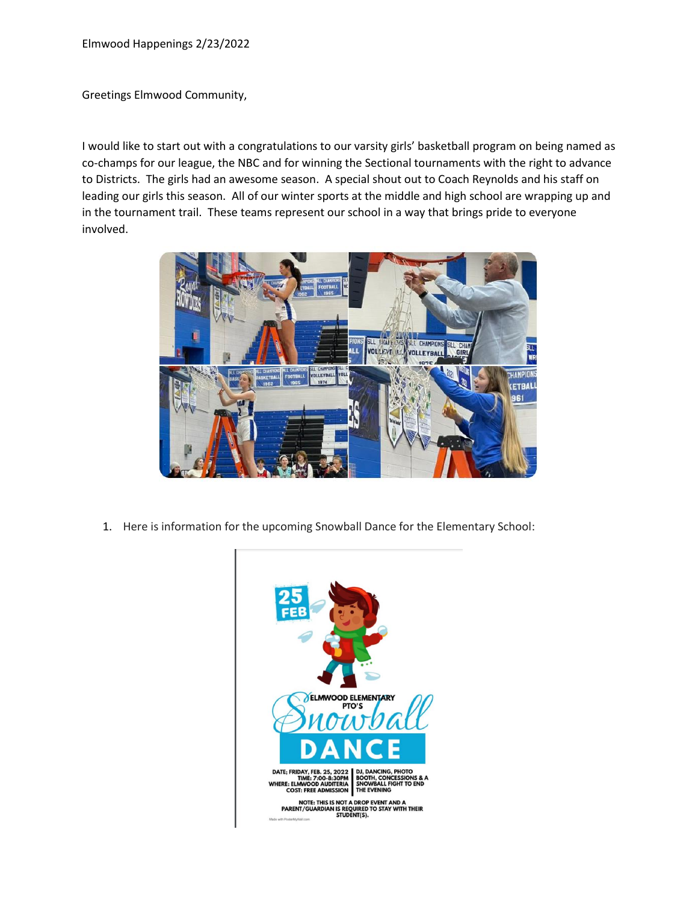Greetings Elmwood Community,

I would like to start out with a congratulations to our varsity girls' basketball program on being named as co-champs for our league, the NBC and for winning the Sectional tournaments with the right to advance to Districts. The girls had an awesome season. A special shout out to Coach Reynolds and his staff on leading our girls this season. All of our winter sports at the middle and high school are wrapping up and in the tournament trail. These teams represent our school in a way that brings pride to everyone involved.



1. Here is information for the upcoming Snowball Dance for the Elementary School:

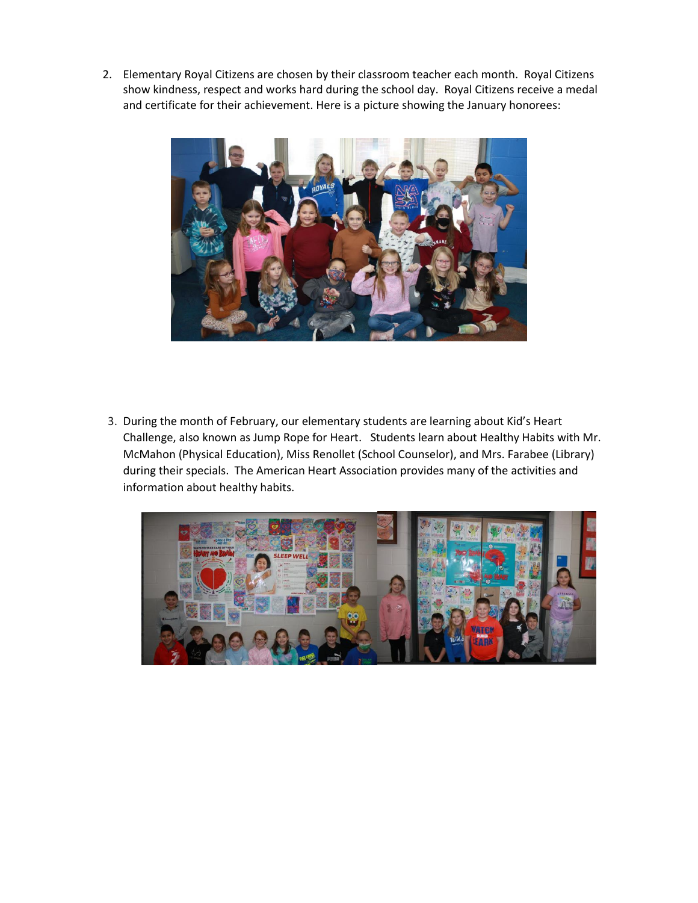2. Elementary Royal Citizens are chosen by their classroom teacher each month. Royal Citizens show kindness, respect and works hard during the school day. Royal Citizens receive a medal and certificate for their achievement. Here is a picture showing the January honorees:



3. During the month of February, our elementary students are learning about Kid's Heart Challenge, also known as Jump Rope for Heart. Students learn about Healthy Habits with Mr. McMahon (Physical Education), Miss Renollet (School Counselor), and Mrs. Farabee (Library) during their specials. The American Heart Association provides many of the activities and information about healthy habits.